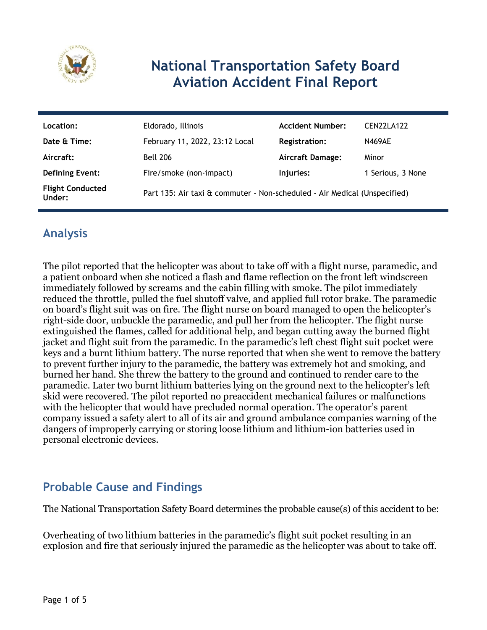

# **National Transportation Safety Board Aviation Accident Final Report**

| Location:                         | Eldorado, Illinois                                                        | <b>Accident Number:</b> | <b>CEN22LA122</b> |
|-----------------------------------|---------------------------------------------------------------------------|-------------------------|-------------------|
| Date & Time:                      | February 11, 2022, 23:12 Local                                            | <b>Registration:</b>    | <b>N469AE</b>     |
| Aircraft:                         | <b>Bell 206</b>                                                           | <b>Aircraft Damage:</b> | Minor             |
| <b>Defining Event:</b>            | Fire/smoke (non-impact)                                                   | Injuries:               | 1 Serious, 3 None |
| <b>Flight Conducted</b><br>Under: | Part 135: Air taxi & commuter - Non-scheduled - Air Medical (Unspecified) |                         |                   |

# **Analysis**

The pilot reported that the helicopter was about to take off with a flight nurse, paramedic, and a patient onboard when she noticed a flash and flame reflection on the front left windscreen immediately followed by screams and the cabin filling with smoke. The pilot immediately reduced the throttle, pulled the fuel shutoff valve, and applied full rotor brake. The paramedic on board's flight suit was on fire. The flight nurse on board managed to open the helicopter's right-side door, unbuckle the paramedic, and pull her from the helicopter. The flight nurse extinguished the flames, called for additional help, and began cutting away the burned flight jacket and flight suit from the paramedic. In the paramedic's left chest flight suit pocket were keys and a burnt lithium battery. The nurse reported that when she went to remove the battery to prevent further injury to the paramedic, the battery was extremely hot and smoking, and burned her hand. She threw the battery to the ground and continued to render care to the paramedic. Later two burnt lithium batteries lying on the ground next to the helicopter's left skid were recovered. The pilot reported no preaccident mechanical failures or malfunctions with the helicopter that would have precluded normal operation. The operator's parent company issued a safety alert to all of its air and ground ambulance companies warning of the dangers of improperly carrying or storing loose lithium and lithium-ion batteries used in personal electronic devices.

## **Probable Cause and Findings**

The National Transportation Safety Board determines the probable cause(s) of this accident to be:

Overheating of two lithium batteries in the paramedic's flight suit pocket resulting in an explosion and fire that seriously injured the paramedic as the helicopter was about to take off.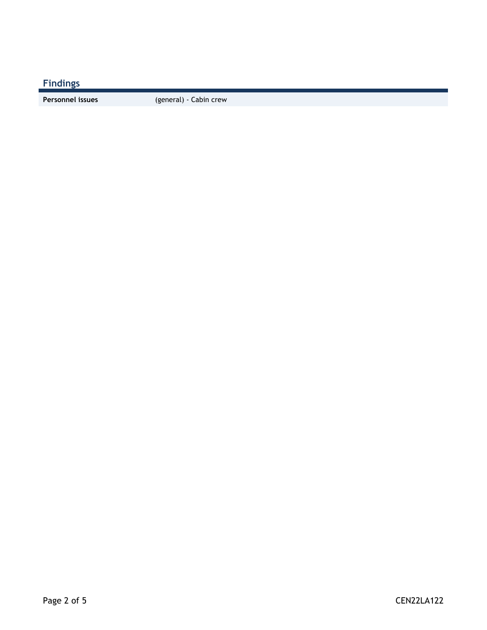**Findings**

**Personnel issues** (general) - Cabin crew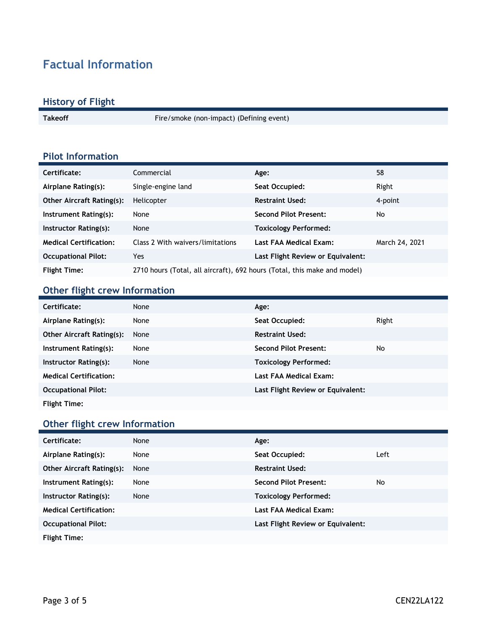# **Factual Information**

### **History of Flight**

Takeoff **Fire/smoke** (non-impact) (Defining event)

## **Pilot Information**

| Certificate:                     | Commercial                                                               | Age:                              | 58             |
|----------------------------------|--------------------------------------------------------------------------|-----------------------------------|----------------|
| Airplane Rating(s):              | Single-engine land                                                       | Seat Occupied:                    | Right          |
| <b>Other Aircraft Rating(s):</b> | Helicopter                                                               | <b>Restraint Used:</b>            | 4-point        |
| Instrument Rating(s):            | None                                                                     | <b>Second Pilot Present:</b>      | No             |
| Instructor Rating(s):            | None                                                                     | <b>Toxicology Performed:</b>      |                |
| <b>Medical Certification:</b>    | Class 2 With waivers/limitations                                         | Last FAA Medical Exam:            | March 24, 2021 |
| <b>Occupational Pilot:</b>       | Yes                                                                      | Last Flight Review or Equivalent: |                |
| <b>Flight Time:</b>              | 2710 hours (Total, all aircraft), 692 hours (Total, this make and model) |                                   |                |

## **Other flight crew Information**

| Certificate:                  | None | Age:                              |       |
|-------------------------------|------|-----------------------------------|-------|
| Airplane Rating(s):           | None | Seat Occupied:                    | Right |
| Other Aircraft Rating(s):     | None | <b>Restraint Used:</b>            |       |
| Instrument Rating(s):         | None | <b>Second Pilot Present:</b>      | No    |
| Instructor Rating(s):         | None | <b>Toxicology Performed:</b>      |       |
| <b>Medical Certification:</b> |      | Last FAA Medical Exam:            |       |
| <b>Occupational Pilot:</b>    |      | Last Flight Review or Equivalent: |       |
| <b>Flight Time:</b>           |      |                                   |       |

### **Other flight crew Information**

| Certificate:                     | None | Age:                              |      |
|----------------------------------|------|-----------------------------------|------|
| Airplane Rating(s):              | None | Seat Occupied:                    | Left |
| <b>Other Aircraft Rating(s):</b> | None | <b>Restraint Used:</b>            |      |
| Instrument Rating(s):            | None | <b>Second Pilot Present:</b>      | No   |
| Instructor Rating(s):            | None | <b>Toxicology Performed:</b>      |      |
| <b>Medical Certification:</b>    |      | Last FAA Medical Exam:            |      |
| <b>Occupational Pilot:</b>       |      | Last Flight Review or Equivalent: |      |
| <b>Flight Time:</b>              |      |                                   |      |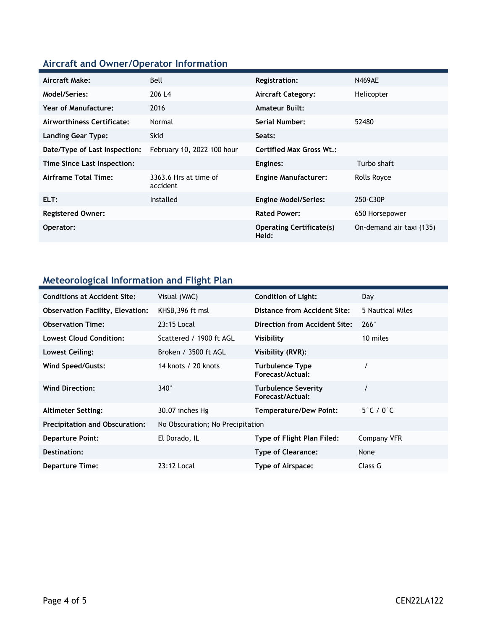## **Aircraft and Owner/Operator Information**

| Aircraft Make:                | Bell                              | <b>Registration:</b>                     | <b>N469AE</b>            |
|-------------------------------|-----------------------------------|------------------------------------------|--------------------------|
| Model/Series:                 | 206 L4                            | <b>Aircraft Category:</b>                | Helicopter               |
| Year of Manufacture:          | 2016                              | <b>Amateur Built:</b>                    |                          |
| Airworthiness Certificate:    | Normal                            | Serial Number:                           | 52480                    |
| <b>Landing Gear Type:</b>     | <b>Skid</b>                       | Seats:                                   |                          |
| Date/Type of Last Inspection: | February 10, 2022 100 hour        | <b>Certified Max Gross Wt.:</b>          |                          |
| Time Since Last Inspection:   |                                   | Engines:                                 | Turbo shaft              |
| Airframe Total Time:          | 3363.6 Hrs at time of<br>accident | <b>Engine Manufacturer:</b>              | Rolls Royce              |
| ELT:                          | Installed                         | <b>Engine Model/Series:</b>              | 250-C30P                 |
| <b>Registered Owner:</b>      |                                   | <b>Rated Power:</b>                      | 650 Horsepower           |
| Operator:                     |                                   | <b>Operating Certificate(s)</b><br>Held: | On-demand air taxi (135) |

## **Meteorological Information and Flight Plan**

| <b>Conditions at Accident Site:</b>     | Visual (VMC)                     | <b>Condition of Light:</b>                     | Day                        |
|-----------------------------------------|----------------------------------|------------------------------------------------|----------------------------|
| <b>Observation Facility, Elevation:</b> | KHSB, 396 ft msl                 | Distance from Accident Site:                   | 5 Nautical Miles           |
| <b>Observation Time:</b>                | 23:15 Local                      | Direction from Accident Site:                  | 266°                       |
| <b>Lowest Cloud Condition:</b>          | Scattered / 1900 ft AGL          | Visibility                                     | 10 miles                   |
| Lowest Ceiling:                         | Broken / 3500 ft AGL             | Visibility (RVR):                              |                            |
| Wind Speed/Gusts:                       | 14 knots / 20 knots              | <b>Turbulence Type</b><br>Forecast/Actual:     |                            |
| <b>Wind Direction:</b>                  | $340^\circ$                      | <b>Turbulence Severity</b><br>Forecast/Actual: | $\prime$                   |
| <b>Altimeter Setting:</b>               | 30.07 inches Hg                  | Temperature/Dew Point:                         | $5^\circ$ C / 0 $^\circ$ C |
| <b>Precipitation and Obscuration:</b>   | No Obscuration; No Precipitation |                                                |                            |
| <b>Departure Point:</b>                 | El Dorado, IL                    | Type of Flight Plan Filed:                     | Company VFR                |
| Destination:                            |                                  | <b>Type of Clearance:</b>                      | None                       |
| Departure Time:                         | 23:12 Local                      | Type of Airspace:                              | Class G                    |